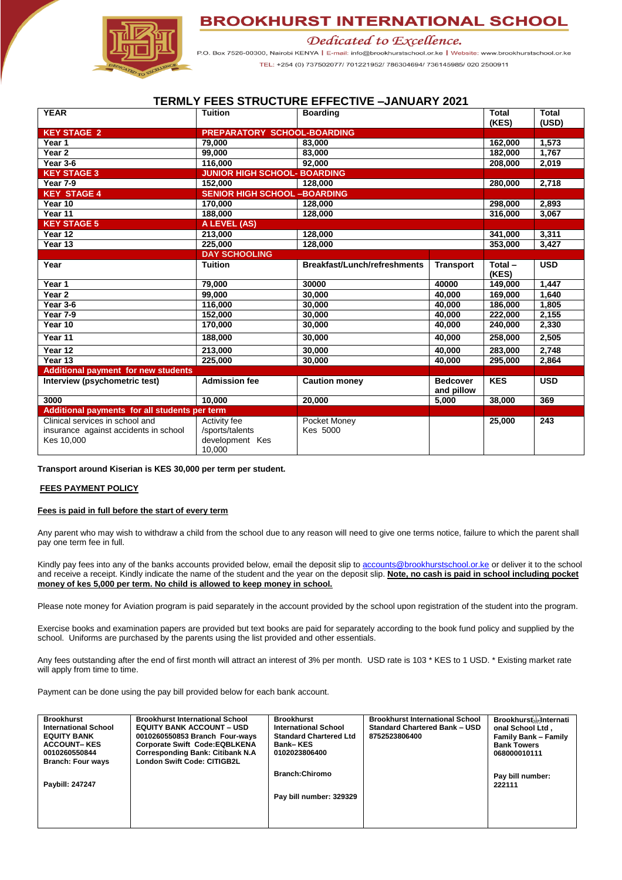



Dedicated to Excellence.

P.O. Box 7526-00300, Nairobi KENYA | E-mail: info@brookhurstschool.or.ke | Website: www.brookhurstschool.or.ke TEL: +254 (0) 737502077/ 701221952/ 786304694/ 736145985/ 020 2500911

## **TERMLY FEES STRUCTURE EFFECTIVE –JANUARY 2021**

| <b>YEAR</b>                                                                            | <b>Tuition</b>                                               | <b>Boarding</b>              | <b>Total</b><br>(KES)         | <b>Total</b><br>(USD) |            |
|----------------------------------------------------------------------------------------|--------------------------------------------------------------|------------------------------|-------------------------------|-----------------------|------------|
| <b>KEY STAGE 2</b>                                                                     | <b>PREPARATORY SCHOOL-BOARDING</b>                           |                              |                               |                       |            |
| Year 1                                                                                 | 79,000                                                       | 83,000                       | 162,000                       | 1,573                 |            |
| Year <sub>2</sub>                                                                      | 99.000                                                       | 83.000                       |                               | 182,000               | 1,767      |
| Year 3-6                                                                               | 116,000                                                      | 92.000                       |                               | 208,000               | 2,019      |
| <b>KEY STAGE 3</b>                                                                     | <b>JUNIOR HIGH SCHOOL- BOARDING</b>                          |                              |                               |                       |            |
| Year 7-9                                                                               | 152,000                                                      | 128,000                      | 280,000                       | 2,718                 |            |
| <b>KEY STAGE 4</b>                                                                     | <b>SENIOR HIGH SCHOOL -BOARDING</b>                          |                              |                               |                       |            |
| Year 10                                                                                | 170,000                                                      | 128,000                      | 298,000                       | 2,893                 |            |
| Year 11                                                                                | 188,000                                                      | 128,000                      |                               | 316,000               | 3,067      |
| <b>KEY STAGE 5</b>                                                                     | A LEVEL (AS)                                                 |                              |                               |                       |            |
| Year 12                                                                                | 213,000                                                      | 128,000                      | 341,000                       | 3,311                 |            |
| Year 13                                                                                | 225,000                                                      | 128,000                      |                               | 353,000               | 3,427      |
|                                                                                        | <b>DAY SCHOOLING</b>                                         |                              |                               |                       |            |
| Year                                                                                   | <b>Tuition</b>                                               | Breakfast/Lunch/refreshments | <b>Transport</b>              | Total-<br>(KES)       | <b>USD</b> |
| Year 1                                                                                 | 79,000                                                       | 30000                        | 40000                         | 149,000               | 1.447      |
| Year 2                                                                                 | 99.000                                                       | 30,000                       | 40,000                        | 169,000               | 1,640      |
| Year 3-6                                                                               | 116,000                                                      | 30,000                       | 40.000                        | 186,000               | 1,805      |
| Year 7-9                                                                               | 152,000                                                      | 40,000<br>30,000             |                               | 222,000               | 2,155      |
| Year 10                                                                                | 170.000                                                      | 30,000                       | 40.000                        | 240.000               | 2,330      |
| Year 11                                                                                | 188,000                                                      | 40,000<br>30,000             |                               | 258,000               | 2,505      |
| Year 12                                                                                | 213,000                                                      | 30,000<br>40,000             |                               | 283,000               | 2,748      |
| Year 13                                                                                | 225,000                                                      | 30,000                       | 40,000                        | 295,000               | 2.864      |
| <b>Additional payment for new students</b>                                             |                                                              |                              |                               |                       |            |
| Interview (psychometric test)                                                          | <b>Admission fee</b>                                         | <b>Caution money</b>         | <b>Bedcover</b><br>and pillow | <b>KES</b>            | <b>USD</b> |
| 3000                                                                                   | 10.000                                                       | 20,000                       | 5,000                         | 38,000                | 369        |
| Additional payments for all students per term                                          |                                                              |                              |                               |                       |            |
| Clinical services in school and<br>insurance against accidents in school<br>Kes 10,000 | Activity fee<br>/sports/talents<br>development Kes<br>10,000 | Pocket Money<br>Kes 5000     |                               | 25,000                | 243        |

## **Transport around Kiserian is KES 30,000 per term per student.**

## **FEES PAYMENT POLICY**

## **Fees is paid in full before the start of every term**

Any parent who may wish to withdraw a child from the school due to any reason will need to give one terms notice, failure to which the parent shall pay one term fee in full.

Kindly pay fees into any of the banks accounts provided below, email the deposit slip to [accounts@brookhurstschool.or.ke](mailto:accounts@brookhurstschool.or.ke) or deliver it to the school and receive a receipt. Kindly indicate the name of the student and the year on the deposit slip. **Note, no cash is paid in school including pocket money of kes 5,000 per term. No child is allowed to keep money in school.** 

Please note money for Aviation program is paid separately in the account provided by the school upon registration of the student into the program.

Exercise books and examination papers are provided but text books are paid for separately according to the book fund policy and supplied by the school. Uniforms are purchased by the parents using the list provided and other essentials.

Any fees outstanding after the end of first month will attract an interest of 3% per month. USD rate is 103 \* KES to 1 USD. \* Existing market rate will apply from time to time.

Payment can be done using the pay bill provided below for each bank account.

| <b>Brookhurst</b><br><b>International School</b><br><b>EQUITY BANK</b><br><b>ACCOUNT-KES</b><br>0010260550844<br><b>Branch: Four ways</b> | <b>Brookhurst International School</b><br><b>EQUITY BANK ACCOUNT – USD</b><br>0010260550853 Branch Four-ways<br><b>Corporate Swift Code:EQBLKENA</b><br><b>Corresponding Bank: Citibank N.A.</b><br><b>London Swift Code: CITIGB2L</b> | <b>Brookhurst</b><br><b>International School</b><br><b>Standard Chartered Ltd</b><br><b>Bank-KES</b><br>0102023806400 | <b>Brookhurst International School</b><br><b>Standard Chartered Bank - USD</b><br>8752523806400 | <b>Brookhurst</b> s internati<br>onal School Ltd,<br><b>Family Bank - Family</b><br><b>Bank Towers</b><br>068000010111 |
|-------------------------------------------------------------------------------------------------------------------------------------------|----------------------------------------------------------------------------------------------------------------------------------------------------------------------------------------------------------------------------------------|-----------------------------------------------------------------------------------------------------------------------|-------------------------------------------------------------------------------------------------|------------------------------------------------------------------------------------------------------------------------|
| Paybill: 247247                                                                                                                           |                                                                                                                                                                                                                                        | <b>Branch:Chiromo</b><br>Pay bill number: 329329                                                                      |                                                                                                 | Pay bill number:<br>222111                                                                                             |
|                                                                                                                                           |                                                                                                                                                                                                                                        |                                                                                                                       |                                                                                                 |                                                                                                                        |